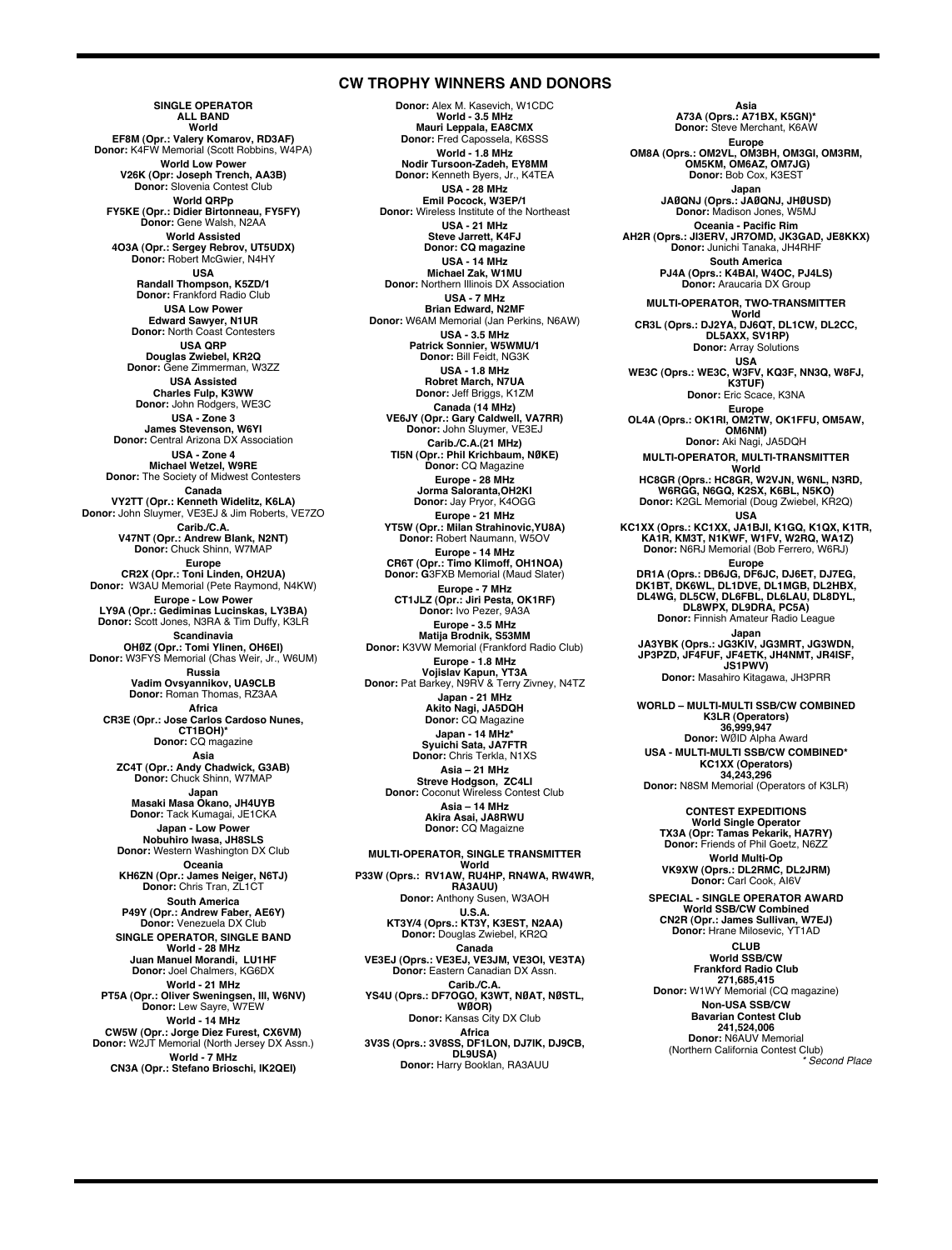## **CW TROPHY WINNERS AND DONORS**

**SINGLE OPERATOR ALL BAND World EF8M (Opr.: Valery Komarov, RD3AF) Donor:** K4FW Memorial (Scott Robbins, W4PA) **World Low Power V26K (Opr: Joseph Trench, AA3B) Donor:** Slovenia Contest Club **World QRPp FY5KE (Opr.: Didier Birtonneau, FY5FY) Donor:** Gene Walsh, N2AA **World Assisted 4O3A (Opr.: Sergey Rebrov, UT5UDX) Donor:** Robert McGwier, N4HY **USA Randall Thompson, K5ZD/1 Donor:** Frankford Radio Club **USA Low Power Edward Sawyer, N1UR Donor:** North Coast Contesters **USA QRP Douglas Zwiebel, KR2Q Donor:** Gene Zimmerman, W3ZZ **USA Assisted Charles Fulp, K3WW Donor:** John Rodgers, WE3C **USA - Zone 3 James Stevenson, W6YI Donor:** Central Arizona DX Association **USA - Zone 4 Michael Wetzel, W9RE Donor:** The Society of Midwest Contesters **Canada<br><b>VY2TT (Opr.: Kenneth Widelitz, K6LA)**<br>Donor: John Sluymer, VE3EJ & Jim Roberts, VE7ZO **Carib./C.A. V47NT (Opr.: Andrew Blank, N2NT) Donor:** Chuck Shinn, W7MAP **Europe CR2X (Opr.: Toni Linden, OH2UA) Donor:** W3AU Memorial (Pete Raymond, N4KW) **Europe - Low Power LY9A (Opr.: Gediminas Lucinskas, LY3BA) Donor:** Scott Jones, N3RA & Tim Duffy, K3LR **Scandinavia OHØZ (Opr.: Tomi Ylinen, OH6EI) Donor:** W3FYS Memorial (Chas Weir, Jr., W6UM) **Russia Vadim Ovsyannikov, UA9CLB Donor:** Roman Thomas, RZ3AA **Africa CR3E (Opr.: Jose Carlos Cardoso Nunes, CT1BOH)\* Donor:** CQ magazine **Asia ZC4T (Opr.: Andy Chadwick, G3AB) Donor:** Chuck Shinn, W7MAP **Japan Masaki Masa Okano, JH4UYB Donor:** Tack Kumagai, JE1CKA **Japan - Low Power Nobuhiro Iwasa, JH8SLS Donor:** Western Washington DX Club **Oceania KH6ZN (Opr.: James Neiger, N6TJ) Donor:** Chris Tran, ZL1CT **South America P49Y (Opr.: Andrew Faber, AE6Y) Donor:** Venezuela DX Club **SINGLE OPERATOR, SINGLE BAND World - 28 MHz Juan Manuel Morandi, LU1HF Donor:** Joel Chalmers, KG6DX **World - 21 MHz PT5A (Opr.: Oliver Sweningsen, III, W6NV) Donor:** Lew Sayre, W7EW **World - 14 MHz CW5W (Opr.: Jorge Diez Furest, CX6VM) Donor:** W2JT Memorial (North Jersey DX Assn.) **World - 7 MHz CN3A (Opr.: Stefano Brioschi, IK2QEI)**

**Donor:** Alex M. Kasevich, W1CDC **World - 3.5 MHz Mauri Leppala, EA8CMX Donor:** Fred Capossela, K6SSS **World - 1.8 MHz Nodir Tursoon-Zadeh, EY8MM Donor:** Kenneth Byers, Jr., K4TEA **USA - 28 MHz Emil Pocock, W3EP/1 Donor:** Wireless Institute of the Northeast **USA - 21 MHz Steve Jarrett, K4FJ Donor: CQ magazine USA - 14 MHz Michael Zak, W1MU Donor:** Northern Illinois DX Association **USA - 7 MHz Brian Edward, N2MF Donor:** W6AM Memorial (Jan Perkins, N6AW) **USA - 3.5 MHz Patrick Sonnier, W5WMU/1 Donor:** Bill Feidt, NG3K **USA - 1.8 MHz Robret March, N7UA Donor:** Jeff Briggs, K1ZM **Canada (14 MHz) VE6JY (Opr.: Gary Caldwell, VA7RR) Donor:** John Sluymer, VE3EJ **Carib./C.A.(21 MHz) TI5N (Opr.: Phil Krichbaum, NØKE) Donor:** CQ Magazine **Europe - 28 MHz Jorma Saloranta,OH2KI Donor:** Jay Pryor, K4OGG **Europe - 21 MHz YT5W (Opr.: Milan Strahinovic,YU8A) Donor:** Robert Naumann, W5OV **Europe - 14 MHz CR6T (Opr.: Timo Klimoff, OH1NOA) Donor: G**3FXB Memorial (Maud Slater) **Europe - 7 MHz CT1JLZ (Opr.: Jiri Pesta, OK1RF) Donor:** Ivo Pezer, 9A3A **Europe - 3.5 MHz Matija Brodnik, S53MM Donor:** K3VW Memorial (Frankford Radio Club) **Europe - 1.8 MHz Vojislav Kapun, YT3A Donor:** Pat Barkey, N9RV & Terry Zivney, N4TZ **Japan - 21 MHz Akito Nagi, JA5DQH Donor:** CQ Magazine **Japan - 14 MHz\* Syuichi Sata, JA7FTR Donor:** Chris Terkla, N1XS **Asia – 21 MHz Streve Hodgson, ZC4LI Donor:** Coconut Wireless Contest Club **Asia – 14 MHz Akira Asai, JA8RWU Donor:** CQ Magaizne **MULTI-OPERATOR, SINGLE TRANSMITTER World P33W (Oprs.: RV1AW, RU4HP, RN4WA, RW4WR, RA3AUU) Donor:** Anthony Susen, W3AOH **U.S.A. KT3Y/4 (Oprs.: KT3Y, K3EST, N2AA) Donor:** Douglas Zwiebel, KR2Q **Canada VE3EJ (Oprs.: VE3EJ, VE3JM, VE3OI, VE3TA) Donor:** Eastern Canadian DX Assn. **Carib./C.A. YS4U (Oprs.: DF7OGO, K3WT, NØAT, NØSTL, WØOR) Donor:** Kansas City DX Club **Africa 3V3S (Oprs.: 3V8SS, DF1LON, DJ7IK, DJ9CB,**

**DL9USA) Donor:** Harry Booklan, RA3AUU

**Asia A73A (Oprs.: A71BX, K5GN)\* Donor:** Steve Merchant, K6AW **Europe OM8A (Oprs.: OM2VL, OM3BH, OM3GI, OM3RM, OM5KM, OM6AZ, OM7JG) Donor:** Bob Cox, K3EST **Japan JAØQNJ (Oprs.: JAØQNJ, JHØUSD) Donor:** Madison Jones, W5MJ **Oceania - Pacific Rim AH2R (Oprs.: JI3ERV, JR7OMD, JK3GAD, JE8KKX) Donor:** Junichi Tanaka, JH4RHF **South America PJ4A (Oprs.: K4BAI, W4OC, PJ4LS) Donor:** Araucaria DX Group **MULTI-OPERATOR, TWO-TRANSMITTER World CR3L (Oprs.: DJ2YA, DJ6QT, DL1CW, DL2CC, DL5AXX, SV1RP) Donor:** Array Solutions **USA WE3C (Oprs.: WE3C, W3FV, KQ3F, NN3Q, W8FJ, K3TUF) Donor:** Eric Scace, K3NA **Europe OL4A (Oprs.: OK1RI, OM2TW, OK1FFU, OM5AW, OM6NM) Donor:** Aki Nagi, JA5DQH **MULTI-OPERATOR, MULTI-TRANSMITTER World HC8GR (Oprs.: HC8GR, W2VJN, W6NL, N3RD, W6RGG, N6GQ, K2SX, K6BL, N5KO) Donor:** K2GL Memorial (Doug Zwiebel, KR2Q) **USA KC1XX (Oprs.: KC1XX, JA1BJI, K1GQ, K1QX, K1TR, KA1R, KM3T, N1KWF, W1FV, W2RQ, WA1Z) Donor:** N6RJ Memorial (Bob Ferrero, W6RJ) **Europe** DR1A (Oprs.: DB6JG, DF6JC, DJ6ET, DJ7EG,<br>DK1BT, DK6WL, DL1DVE, DL1MGB, DL2HBX,<br>DL4WG, DL5CW, DL6FBL, DL6LAU, DL8DYL, **DL8WPX, DL9DRA, PC5A) Donor:** Finnish Amateur Radio League **Japan JA3YBK (Oprs.: JG3KIV, JG3MRT, JG3WDN, JP3PZD, JF4FUF, JF4ETK, JH4NMT, JR4ISF, JS1PWV) Donor:** Masahiro Kitagawa, JH3PRR **WORLD – MULTI-MULTI SSB/CW COMBINED K3LR (Operators) 36,999,947 Donor:** WØID Alpha Award **USA - MULTI-MULTI SSB/CW COMBINED\* KC1XX (Operators) 34,243,296 Donor:** N8SM Memorial (Operators of K3LR) **CONTEST EXPEDITIONS World Single Operator TX3A (Opr: Tamas Pekarik, HA7RY) Donor:** Friends of Phil Goetz, N6ZZ **World Multi-Op VK9XW (Oprs.: DL2RMC, DL2JRM) Donor:** Carl Cook, AI6V **SPECIAL - SINGLE OPERATOR AWARD World SSB/CW Combined CN2R (Opr.: James Sullivan, W7EJ) Donor:** Hrane Milosevic, YT1AD **CLUB World SSB/CW Frankford Radio Club 271,685,415 Donor:** W1WY Memorial (CQ magazine) **Non-USA SSB/CW Bavarian Contest Club**

**241,524,006 Donor:** N6AUV Memorial (Northern California Contest Club) *\* Second Place*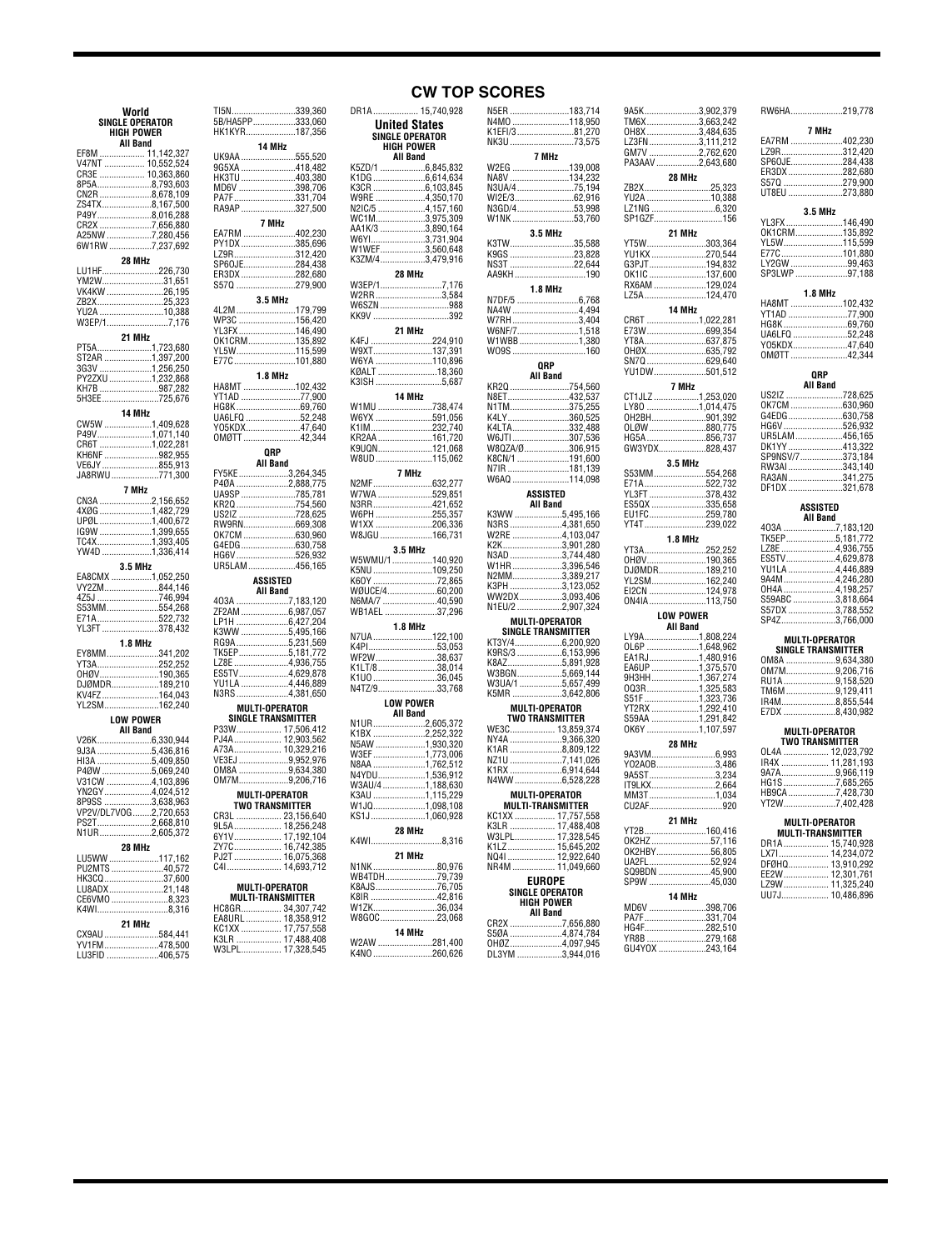| World<br><b>SINGLE OPERATOR</b>    |                 |
|------------------------------------|-----------------|
|                                    |                 |
|                                    |                 |
|                                    | TI5N<br>5B/HA5F |
| <b>HIGH POWER</b>                  | HK1KYR          |
| <b>All Band</b>                    |                 |
| EF8M  11,142,327                   |                 |
| V47NT  10,552,524                  | UK9AA           |
|                                    | 9G5XA           |
|                                    | HK3TU           |
| 8P5A8,793,603                      | MD6V            |
|                                    | <b>PA7F</b>     |
|                                    | RA9AP           |
|                                    |                 |
| CR2X 7,656,880                     |                 |
|                                    | EA7RM.          |
|                                    | PY1DX.          |
|                                    | LZ9R            |
| 28 MHz                             |                 |
| LU1HF226,730                       | SP60JE.         |
| YM2W31,651                         | ER3DX           |
|                                    | S570            |
| VK4KW 26,195                       |                 |
| ZB2X25,323                         |                 |
| YU2A 10,388                        | 4L2M            |
| W3EP/17,176                        | WP3C            |
|                                    | YL3FX<br>OK1CRM |
| 21 MHz                             |                 |
| PT5A1,723,680                      | <b>YL5W</b>     |
| ST2AR 1,397,200                    | E77C            |
| 3G3V 1,256,250                     |                 |
| PY2ZXU 1,232,868                   |                 |
|                                    | HA8MT.          |
| КН7В 987,282<br>5Н3ЕЕ 725,676      | YT1AD           |
|                                    |                 |
| 14 MHz                             | HG8K<br>UA6LFQ  |
| CW5W 1,409,628                     |                 |
|                                    | Y05KDX          |
| Р49V1,́071,́140<br>СR6T 1,́022,281 | OMØTT.          |
|                                    |                 |
| КН6NF 982,955<br>VE6JY 855,913     |                 |
|                                    |                 |
| JA8RWU771,300                      | FY5KE           |
| 7 MHz                              | P4ØA<br>UA9SP   |
| CN3A 2,156,652                     |                 |
|                                    | KR20            |
| 4XØG 1,482,729                     | US2IZ           |
|                                    | RW9RN.          |
|                                    | OK7CM.          |
|                                    | G4EDG.          |
| YW4D 1,336,414                     |                 |
|                                    | HG6V<br>UR5LAN  |
| 3.5 MHz                            |                 |
| EA8CMX 1,052,250                   |                 |
| VY2ZM844,146                       |                 |
| .<br>4Z5J 746,994<br>S53MM554,268  | 403A            |
|                                    | ZF2AM.          |
| E71A522,732                        | LP1H            |
|                                    |                 |
| YL3FT378,432                       |                 |
|                                    | K3WW.           |
| 1.8 MHz                            | RG9A            |
| EY8MM341,202                       | TK5EP           |
|                                    |                 |
| OHØV190,365                        | LZ8E<br>ES5TV   |
| DJØMDR189,210                      | YU1LA.          |
| KV4FZ164,043                       | N3RS            |
| YL2SM162,240                       |                 |
|                                    | M               |
| <b>LOW POWER</b>                   | <b>SINO</b>     |
| <b>All Band</b>                    | P33W            |
| V26K6,330,944                      | PJ4A            |
| 9J3A 5,436,816                     | A73A            |
| HI3A 5,409,850                     | <b>VE3EJ</b>    |
| P4ØW 5,069,240                     | OM8A            |
|                                    | 0M7M            |
|                                    |                 |
|                                    | M               |
| 8P9SS 3,638,963                    |                 |
| VP2V/DL7VOG 2,720,653              | CR3L            |
| PS2T2,668,810                      | 9L5A            |
| N1UR2,605,372                      | 6Y1V            |
| 28 MHz                             | ZY7C            |
|                                    | PJ2T            |
| LU5WW 117,162<br>PU2MTS 40,572     | C41             |
| HK3CQ37,600                        |                 |
|                                    | M               |
| LU8ADX 21,148                      | MUI             |
| CE6VMO 8,323                       |                 |
| K4WI8,316                          | HC8GR.          |
| 21 MHz                             | EA8URL          |
| CX9AU 584,441                      | KC1XX           |
| YV1FM478.500<br>LU3FID 406,575     | K3LR<br>W3LPL   |

| TI5N339,360<br>5B/HA5PP333,060     |  |
|------------------------------------|--|
|                                    |  |
| HK1KYR187,356                      |  |
| 14 MHz                             |  |
| UK9AA 555,520                      |  |
| 9G5XA 418,482                      |  |
| HK3TU 403,380                      |  |
| MD6V 398,706                       |  |
|                                    |  |
| __<br>PA7F331,704                  |  |
| RA9AP 327,500                      |  |
| 7 MHz                              |  |
| EA7RM 402,230                      |  |
|                                    |  |
| PY1DX 385,696                      |  |
| LZ9R312,420                        |  |
| SP60JE284,438                      |  |
| ER3DX 282,680                      |  |
| 5570 279,900                       |  |
| 3.5 MHz                            |  |
|                                    |  |
|                                    |  |
|                                    |  |
|                                    |  |
|                                    |  |
| 0K1CRM135,892<br>YL5W115,599       |  |
| E77C 101,880                       |  |
|                                    |  |
| 1.8 MHz                            |  |
| HA8MT 102,432                      |  |
| YT1AD 77,900                       |  |
| HG8K 69,760                        |  |
|                                    |  |
|                                    |  |
|                                    |  |
| 0MØTT 42,344                       |  |
| <b>QRP</b>                         |  |
| <b>All Band</b>                    |  |
| FY5KE3,264,345                     |  |
| P4ØA 2,888,775                     |  |
|                                    |  |
| UA9SP 785,781                      |  |
| KR2Q 754,560                       |  |
| US2IZ 728,625                      |  |
|                                    |  |
| OK7CM 630,960                      |  |
|                                    |  |
|                                    |  |
|                                    |  |
|                                    |  |
| UR5LAM 456,165                     |  |
| ASSISTED                           |  |
| All Band                           |  |
|                                    |  |
|                                    |  |
|                                    |  |
| LP1H 6,427,204                     |  |
| K3WW 5,495,166                     |  |
| RG9A 5,231,569                     |  |
|                                    |  |
|                                    |  |
|                                    |  |
| ES5TV4,629,878                     |  |
| YU1LA 4,446,889                    |  |
| N3RS4,381,650                      |  |
| <b>MULTI-OPERATOR</b>              |  |
| <b>SINGLE TRANSMITTER</b>          |  |
|                                    |  |
|                                    |  |
| P33W 17,506,412<br>PJ4A 12,903,562 |  |
| A73A 10,329,216                    |  |
| VE3EJ 9,952,976                    |  |
| 0M8A 9,634,380                     |  |
| 0M7M9,206,716                      |  |
| <b>MULTI-OPERATOR</b>              |  |
| ı                                  |  |
|                                    |  |
|                                    |  |
|                                    |  |
|                                    |  |
|                                    |  |
|                                    |  |
|                                    |  |
|                                    |  |
| MULTI-OPERATOR                     |  |
| <b>MULTI-TRANSMITTER</b>           |  |
|                                    |  |
|                                    |  |
|                                    |  |
|                                    |  |

#### DR1A................... 15,740,928 N5ER .........................183,714 **CW TOP SCORES**

| United States<br><b>SINGLE OPERATOR</b><br>HIGH POWER |         |
|-------------------------------------------------------|---------|
| <b>All Band</b>                                       |         |
| K5ZD/1 6,845,832                                      |         |
|                                                       |         |
| K3CR 6,103,845                                        |         |
| W9RE 4,350,170                                        |         |
| N2IC/5 4,157,160<br>WC1M3,975,309                     |         |
|                                                       |         |
| AA1K/3 3,890,164                                      |         |
|                                                       |         |
|                                                       |         |
| K3ZM/43,479,916                                       |         |
| 28 MHz                                                |         |
| W3EP/17,176                                           |         |
|                                                       |         |
| W2RR3,584                                             |         |
| W6SZN 988                                             |         |
| KK9V 392                                              |         |
| 21 MHz                                                |         |
| K4FJ 224,910                                          |         |
|                                                       |         |
| W6YA 110,896                                          |         |
|                                                       |         |
| .<br>КØALT 18,360<br>К3ISH 5,687                      |         |
|                                                       |         |
| 14 MHz                                                |         |
| W1MU 738,474                                          |         |
| W6YX 591,056                                          |         |
| K1IM232,740                                           |         |
| KR2AA 161,720                                         |         |
| K9UQN121,068                                          |         |
| W8UD 115,062                                          |         |
|                                                       |         |
| 7 MHz                                                 |         |
| N2MF632,277                                           |         |
| W7WA 529,851                                          |         |
| N3RR421,652                                           |         |
| W6PH 255,357                                          |         |
| W1XX 206,336                                          |         |
| W8JGU 166,731                                         |         |
| 3.5 MHz                                               |         |
|                                                       |         |
| W5WMU/1140,920                                        |         |
| K5NU 109,250                                          |         |
| K6OY 72,865                                           |         |
| WØUCE/460,200                                         |         |
| 40,590<br>WB1AEL 37,296                               |         |
|                                                       |         |
| <b>1.8 MHz</b>                                        |         |
| N7UA 122,100                                          |         |
| K4PI53,053                                            |         |
| WF2W38,637                                            |         |
|                                                       |         |
|                                                       |         |
|                                                       |         |
|                                                       |         |
| <b>LOW POWER</b>                                      |         |
| <b>All Band</b>                                       |         |
| N1UR2,605,372                                         |         |
| K1BX 2,252,322                                        |         |
|                                                       |         |
|                                                       |         |
|                                                       |         |
|                                                       |         |
| N8AA 1,762,512                                        |         |
|                                                       |         |
|                                                       |         |
|                                                       |         |
|                                                       |         |
| KS1J1,060,928                                         |         |
| 28 MHz                                                |         |
|                                                       |         |
| K4WI8,316                                             |         |
| 21 MHz                                                |         |
|                                                       |         |
| N1NK 80,976<br>WB4TDH79,739                           |         |
|                                                       |         |
| K8AJS76,705<br>K8IR 42,816                            |         |
| W1ZK36,034                                            |         |
|                                                       |         |
| W8GOC23,068                                           |         |
| 14 MHz                                                |         |
| K4NO.                                                 | 260.626 |

| K1EFI/381,270         | NJEH  183,7 14<br>N4MO 118,950              |
|-----------------------|---------------------------------------------|
|                       |                                             |
|                       | NK3U 73,575                                 |
|                       | 7 MHz                                       |
|                       |                                             |
|                       | W2EG 139,008<br>NA8V 134,232                |
|                       | N3UA/475,194                                |
|                       | WI2E/362,916                                |
|                       | N3GD/453,998                                |
|                       | W1NK53,760                                  |
|                       | 3.5 MHz                                     |
|                       | K3TW35,588                                  |
|                       | K9GS 23,828                                 |
|                       | NS3T 22,644                                 |
|                       | AA9KH190                                    |
|                       | <b>1.8 MHz</b>                              |
|                       |                                             |
|                       |                                             |
|                       | NA4W 4,494<br>W7RH 3,404                    |
|                       | W6NF/71,518                                 |
|                       | W1WBB1,380                                  |
|                       | WO9S 160                                    |
|                       | QRP                                         |
|                       | All Band                                    |
|                       | KR2Q 754,560                                |
|                       | N8ET432,537                                 |
|                       | N1TM375,255                                 |
|                       | K4LY360,525<br>K4LTA332,488                 |
|                       |                                             |
|                       | W6JTI307,536<br>W8QZA/Ø306,915              |
|                       |                                             |
|                       | K8CN/1 191,600                              |
|                       |                                             |
|                       |                                             |
|                       | ASSISTED                                    |
|                       | <b>All Band</b>                             |
|                       |                                             |
|                       | N3RS4,381,650                               |
|                       |                                             |
|                       |                                             |
|                       | W1HR3,396,546                               |
|                       | N2MM3,389,217                               |
|                       | K3PH 3,123,052                              |
|                       | WW2DX3,093,406                              |
|                       | N1EU/2 2,907,324                            |
|                       |                                             |
|                       | MULTI-OPERATOR<br><b>SINGLE TRANSMITTER</b> |
|                       | KT3Y/46,200,920                             |
|                       | K9RS/3 6,153,996                            |
|                       | K8AZ5,891,928                               |
|                       | W3BGN5,669,144                              |
|                       | W3UA/1 5,657,499                            |
|                       | K5MR 3,642,806                              |
|                       |                                             |
|                       |                                             |
| <b>MULTI-OPERATOR</b> | <b>TWO TRANSMITTER</b>                      |
|                       |                                             |
|                       | WE3C 13,859,374<br>NY4A 9,366,320           |
|                       |                                             |
|                       | K1AR 8,809,122                              |
|                       | NZ1U 7,141,026<br>K1RX 6,914,644            |
|                       | N4WW6,528,228                               |
|                       | <b>MULTI-OPERATOR</b>                       |
|                       | <b>MULTI-TRANSMITTER</b>                    |
|                       |                                             |
|                       |                                             |
|                       |                                             |
|                       |                                             |
|                       | K1LZ 15,645,202<br>NQ4I  12,922,640         |
| NR4M                  | 11,049,660                                  |
|                       | <b>EUROPE</b>                               |
|                       | SINGLE OPERATOR                             |
|                       | <b>HIGH POWER</b>                           |
|                       | <b>All Band</b>                             |
|                       |                                             |
|                       |                                             |

| 9A5K3,902,379                              |  |
|--------------------------------------------|--|
| TM6X3,663,242<br>OH8X3,484,635             |  |
| LZ3FN3,111,212                             |  |
| GM7V 2,762,620                             |  |
| PA3AAV2,643,680                            |  |
| 28 MHz                                     |  |
| ZB2X25,323<br>YU2A 10,388                  |  |
| LZ1NG 6,320                                |  |
| SP1GZF156                                  |  |
| 21 MHz                                     |  |
| YT5W303,364<br>YU1KX270,544                |  |
| G3PJT194,832                               |  |
| OK1IC 137,600                              |  |
| RX6AM 129,024<br>LZ5A124.470               |  |
| 14 MHz                                     |  |
| CR6T 1,022,281                             |  |
| E73W699,354                                |  |
| YT8A637,875<br>OHØX635,792                 |  |
|                                            |  |
| SN7Q 629,640<br>YU1DW 501,512              |  |
| 7 MHz                                      |  |
| CT1JLZ 1,253,020                           |  |
| .80 1,014,475<br>L<br>OH2BH901,392         |  |
|                                            |  |
|                                            |  |
|                                            |  |
| 3.5 MHz<br>S53MM554,268                    |  |
| E71A522,732                                |  |
| YL3FT 378,432<br>ES5QX 335,658             |  |
|                                            |  |
| EU1FC259,780<br>YT4T239,022                |  |
|                                            |  |
|                                            |  |
| 1.8 MHz<br>YT3A252,252                     |  |
|                                            |  |
|                                            |  |
| EI2CN 124,978                              |  |
| ON4IA113,750                               |  |
| <b>LOW POWER</b>                           |  |
| <b>All Band</b>                            |  |
|                                            |  |
| EA1RJ1,480,916                             |  |
| EA6UP 1,375,570                            |  |
|                                            |  |
|                                            |  |
| YT2RX 1,292,410                            |  |
|                                            |  |
| 859AA 1,291,842<br>0K6Y 1,107,597          |  |
| 28 MHz<br>9A3VM6,993                       |  |
| YO2AOB3,486                                |  |
| 9A5ST3,234                                 |  |
| IT9LKX2.664<br>MM3T1,034                   |  |
|                                            |  |
| 21 MHz                                     |  |
|                                            |  |
| YT2B160,416<br>OK2HZ57,116<br>OK2HBY56,805 |  |
| UA2FL52,924                                |  |
| SQ9BDN 45,900                              |  |
| SP9W 45,030                                |  |
| 14 MHz<br>MD6V 398,706                     |  |
| PA7F331,704                                |  |
| HG4F282,510<br>YR8B 279,168                |  |

| RW6HA219,778                     |  |  |  |  |
|----------------------------------|--|--|--|--|
| 7 MHz                            |  |  |  |  |
| EA7RM 402,230                    |  |  |  |  |
| LZ9R312,420                      |  |  |  |  |
| SP60JE284,438                    |  |  |  |  |
| ER3DX 282,680<br>S570 279,900    |  |  |  |  |
| UT8EU 273,880                    |  |  |  |  |
|                                  |  |  |  |  |
| 3.5 MHz<br>YL3FX146,490          |  |  |  |  |
| OK1CRM135,892                    |  |  |  |  |
| YL5W115,599                      |  |  |  |  |
| E77C101,880                      |  |  |  |  |
|                                  |  |  |  |  |
| LY2GW 99,463<br>SP3LWP 97,188    |  |  |  |  |
| <b>1.8 MHz</b>                   |  |  |  |  |
| HA8MT 102,432                    |  |  |  |  |
| YT1AD 77,900                     |  |  |  |  |
| HG8K69,760                       |  |  |  |  |
| UA6LFQ 52,248                    |  |  |  |  |
| Y05KDX47,640                     |  |  |  |  |
| 0MØTT 42,344                     |  |  |  |  |
| 0RP                              |  |  |  |  |
| <b>All Band</b>                  |  |  |  |  |
| US2IZ 728,625<br>OK7CM 630,960   |  |  |  |  |
| G4EDG630,758                     |  |  |  |  |
| HG6V526,932                      |  |  |  |  |
| UR5LAM 456,165                   |  |  |  |  |
| DK1YY413,322                     |  |  |  |  |
| SP9NSV/7373,184                  |  |  |  |  |
| RW3AI 343,140                    |  |  |  |  |
| RA3AN341,275                     |  |  |  |  |
| DF1DX 321,678                    |  |  |  |  |
| ASSISTED                         |  |  |  |  |
| <b>All Band</b>                  |  |  |  |  |
| 403A 7,183,120<br>TK5EP5,181,772 |  |  |  |  |
| LZ8E 4,936,755                   |  |  |  |  |
| ES5TV4,629,878                   |  |  |  |  |
| YU1LA 4,446,889                  |  |  |  |  |
| 9A4M4,246,280                    |  |  |  |  |
| 0H4A 4,198,257                   |  |  |  |  |
| S59ABC 3,818,664                 |  |  |  |  |
| S57DX 3,788,552                  |  |  |  |  |
| SP4Z3,766,000                    |  |  |  |  |
| MULTI-OPERATOR                   |  |  |  |  |
| SINGLE TRANSMITTER               |  |  |  |  |

| SINGLE THANSMITTER |                |  |  |  |
|--------------------|----------------|--|--|--|
|                    | OM8A 9,634,380 |  |  |  |
|                    | OM7M9,206,716  |  |  |  |
|                    | RU1A9.158.520  |  |  |  |
|                    | TM6M 9.129.411 |  |  |  |
|                    | IR4M8.855.544  |  |  |  |
|                    | E7DX 8.430.982 |  |  |  |
|                    |                |  |  |  |

| MULTI-OPERATOR<br><b>TWO TRANSMITTER</b> |                  |  |  |
|------------------------------------------|------------------|--|--|
|                                          | OL4A  12,023,792 |  |  |
|                                          | IR4X  11,281,193 |  |  |
|                                          | 9A7A9.966.119    |  |  |
|                                          | HG1S7.685.265    |  |  |
|                                          | HB9CA7.428.730   |  |  |
|                                          | YT2W7.402.428    |  |  |
|                                          |                  |  |  |

| <b>MULTI-OPERATOR</b><br><b>MULTI-TRANSMITTER</b> |                  |  |  |
|---------------------------------------------------|------------------|--|--|
|                                                   | DR1A 15.740.928  |  |  |
|                                                   | LX71 14.234.072  |  |  |
|                                                   | DFØHQ 13.910.292 |  |  |
|                                                   | EE2W 12.301.761  |  |  |
|                                                   | LZ9W  11.325.240 |  |  |
|                                                   |                  |  |  |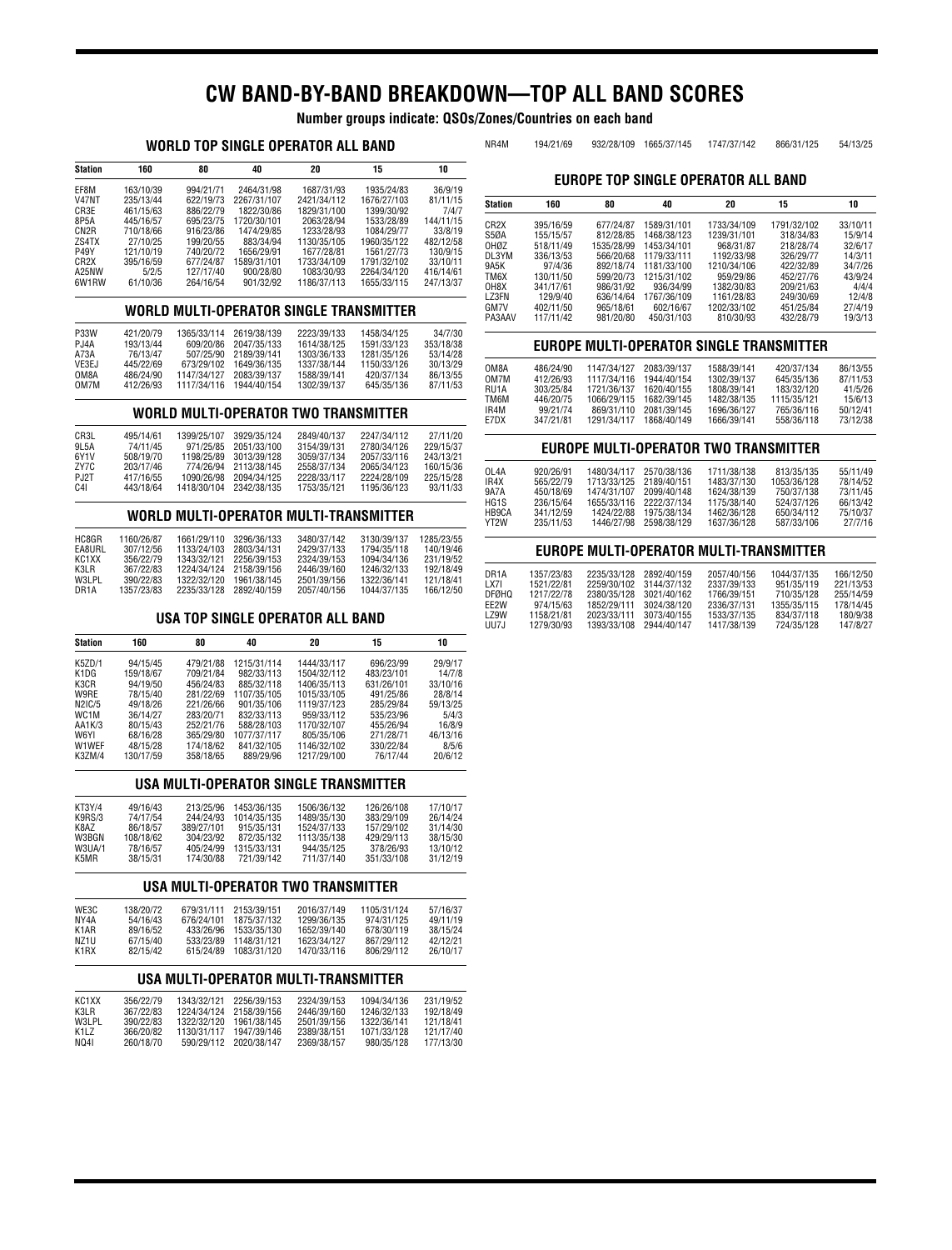# **CW BAND-BY-BAND BREAKDOWN—TOP ALL BAND SCORES**

**Number groups indicate: QSOs/Zones/Countries on each band**

## **WORLD TOP SINGLE OPERATOR ALL BAND**

| Station            | 160       | 80        | 40          | 20          | 15          | 10        |
|--------------------|-----------|-----------|-------------|-------------|-------------|-----------|
| EF8M               | 163/10/39 | 994/21/71 | 2464/31/98  | 1687/31/93  | 1935/24/83  | 36/9/19   |
| <b>V47NT</b>       | 235/13/44 | 622/19/73 | 2267/31/107 | 2421/34/112 | 1676/27/103 | 81/11/15  |
| CR3E               | 461/15/63 | 886/22/79 | 1822/30/86  | 1829/31/100 | 1399/30/92  | 7/4/7     |
| 8P5A               | 445/16/57 | 695/23/75 | 1720/30/101 | 2063/28/94  | 1533/28/89  | 144/11/15 |
| CN <sub>2</sub> R  | 710/18/66 | 916/23/86 | 1474/29/85  | 1233/28/93  | 1084/29/77  | 33/8/19   |
| ZS4TX              | 27/10/25  | 199/20/55 | 883/34/94   | 1130/35/105 | 1960/35/122 | 482/12/58 |
| <b>P49Y</b>        | 121/10/19 | 740/20/72 | 1656/29/91  | 1677/28/81  | 1561/27/73  | 130/9/15  |
| CR <sub>2</sub> X  | 395/16/59 | 677/24/87 | 1589/31/101 | 1733/34/109 | 1791/32/102 | 33/10/11  |
| A <sub>25</sub> NW | 5/2/5     | 127/17/40 | 900/28/80   | 1083/30/93  | 2264/34/120 | 416/14/61 |
| 6W1RW              | 61/10/36  | 264/16/54 | 901/32/92   | 1186/37/113 | 1655/33/115 | 247/13/37 |

## **WORLD MULTI-OPERATOR SINGLE TRANSMITTER**

| P33W   | 421/20/79 |             | 1365/33/114 2619/38/139 | 2223/39/133 | 1458/34/125 | 34/7/30   |
|--------|-----------|-------------|-------------------------|-------------|-------------|-----------|
| PJ4A   | 193/13/44 |             | 609/20/86 2047/35/133   | 1614/38/125 | 1591/33/123 | 353/18/38 |
| A73A   | 76/13/47  | 507/25/90   | 2189/39/141             | 1303/36/133 | 1281/35/126 | 53/14/28  |
| VE3EJ. | 445/22/69 | 673/29/102  | 1649/36/135             | 1337/38/144 | 1150/33/126 | 30/13/29  |
| OM8A   | 486/24/90 | 1147/34/127 | 2083/39/137             | 1588/39/141 | 420/37/134  | 86/13/55  |
| OM7M   | 412/26/93 |             | 1117/34/116 1944/40/154 | 1302/39/137 | 645/35/136  | 87/11/53  |

#### **WORLD MULTI-OPERATOR TWO TRANSMITTER**

| CR3L              | 495/14/61 | 1399/25/107 | 3929/35/124 | 2849/40/137 | 2247/34/112 | 27/11/20  |
|-------------------|-----------|-------------|-------------|-------------|-------------|-----------|
| 9L5A              | 74/11/45  | 971/25/85   | 2051/33/100 | 3154/39/131 | 2780/34/126 | 229/15/37 |
| 6Y <sub>1</sub> V | 508/19/70 | 1198/25/89  | 3013/39/128 | 3059/37/134 | 2057/33/116 | 243/13/21 |
| ZY7C              | 203/17/46 | 774/26/94   | 2113/38/145 | 2558/37/134 | 2065/34/123 | 160/15/36 |
| PJ2T              | 417/16/55 | 1090/26/98  | 2094/34/125 | 2228/33/117 | 2224/28/109 | 225/15/28 |
| C <sub>4</sub>    | 443/18/64 | 1418/30/104 | 2342/38/135 | 1753/35/121 | 1195/36/123 | 93/11/33  |

## **WORLD MULTI-OPERATOR MULTI-TRANSMITTER**

| HC8GR             | 1160/26/87 | 1661/29/110 | 3296/36/133 | 3480/37/142 | 3130/39/137 | 1285/23/55 |
|-------------------|------------|-------------|-------------|-------------|-------------|------------|
| EA8URL            | 307/12/56  | 1133/24/103 | 2803/34/131 | 2429/37/133 | 1794/35/118 | 140/19/46  |
| KC1XX             | 356/22/79  | 1343/32/121 | 2256/39/153 | 2324/39/153 | 1094/34/136 | 231/19/52  |
| K31 R             | 367/22/83  | 1224/34/124 | 2158/39/156 | 2446/39/160 | 1246/32/133 | 192/18/49  |
| W3LPL             | 390/22/83  | 1322/32/120 | 1961/38/145 | 2501/39/156 | 1322/36/141 | 121/18/41  |
| DR <sub>1</sub> A | 1357/23/83 | 2235/33/128 | 2892/40/159 | 2057/40/156 | 1044/37/135 | 166/12/50  |

## **USA TOP SINGLE OPERATOR ALL BAND**

| Station           | 160       | 80        | 40          | 20          | 15         | 10       |
|-------------------|-----------|-----------|-------------|-------------|------------|----------|
| K5ZD/1            | 94/15/45  | 479/21/88 | 1215/31/114 | 1444/33/117 | 696/23/99  | 29/9/17  |
| K1DG              | 159/18/67 | 709/21/84 | 982/33/113  | 1504/32/112 | 483/23/101 | 14/7/8   |
| K3CR              | 94/19/50  | 456/24/83 | 885/32/118  | 1406/35/113 | 631/26/101 | 33/10/16 |
| W9RE              | 78/15/40  | 281/22/69 | 1107/35/105 | 1015/33/105 | 491/25/86  | 28/8/14  |
| N2IC/5            | 49/18/26  | 221/26/66 | 901/35/106  | 1119/37/123 | 285/29/84  | 59/13/25 |
| WC <sub>1</sub> M | 36/14/27  | 283/20/71 | 832/33/113  | 959/33/112  | 535/23/96  | 5/4/3    |
| AA1K/3            | 80/15/43  | 252/21/76 | 588/28/103  | 1170/32/107 | 455/26/94  | 16/8/9   |
| W6YI              | 68/16/28  | 365/29/80 | 1077/37/117 | 805/35/106  | 271/28/71  | 46/13/16 |
| <b>W1WEF</b>      | 48/15/28  | 174/18/62 | 841/32/105  | 1146/32/102 | 330/22/84  | 8/5/6    |
| K3ZM/4            | 130/17/59 | 358/18/65 | 889/29/96   | 1217/29/100 | 76/17/44   | 20/6/12  |

## **USA MULTI-OPERATOR SINGLE TRANSMITTER**

| KT3Y/4 | 49/16/43  | 213/25/96  | 1453/36/135 | 1506/36/132 | 126/26/108 | 17/10/17 |
|--------|-----------|------------|-------------|-------------|------------|----------|
| K9RS/3 | 74/17/54  | 244/24/93  | 1014/35/135 | 1489/35/130 | 383/29/109 | 26/14/24 |
| K8AZ   | 86/18/57  | 389/27/101 | 915/35/131  | 1524/37/133 | 157/29/102 | 31/14/30 |
| W3BGN  | 108/18/62 | 304/23/92  | 872/35/132  | 1113/35/138 | 429/29/113 | 38/15/30 |
| W3UA/1 | 78/16/57  | 405/24/99  | 1315/33/131 | 944/35/125  | 378/26/93  | 13/10/12 |
| K5MR   | 38/15/31  | 174/30/88  | 721/39/142  | 711/37/140  | 351/33/108 | 31/12/19 |

#### **USA MULTI-OPERATOR TWO TRANSMITTER**

| WE3C | 138/20/72 |            | 679/31/111 2153/39/151 | 2016/37/149 | 1105/31/124 | 57/16/37 |
|------|-----------|------------|------------------------|-------------|-------------|----------|
| NY4A | 54/16/43  | 676/24/101 | 1875/37/132            | 1299/36/135 | 974/31/125  | 49/11/19 |
| K1AR | 89/16/52  |            | 433/26/96 1533/35/130  | 1652/39/140 | 678/30/119  | 38/15/24 |
| NZ1U | 67/15/40  |            | 533/23/89 1148/31/121  | 1623/34/127 | 867/29/112  | 42/12/21 |
| K1RX | 82/15/42  | 615/24/89  | 1083/31/120            | 1470/33/116 | 806/29/112  | 26/10/17 |
|      |           |            |                        |             |             |          |

### **USA MULTI-OPERATOR MULTI-TRANSMITTER**

# NR4M 194/21/69 932/28/109 1665/37/145 1747/37/142 866/31/125 54/13/25 **EUROPE TOP SINGLE OPERATOR ALL BAND**

| <b>Station</b>    | 160       | 80         | 40          | 20          | 15          | 10       |
|-------------------|-----------|------------|-------------|-------------|-------------|----------|
|                   |           |            |             |             |             |          |
| CR <sub>2</sub> X | 395/16/59 | 677/24/87  | 1589/31/101 | 1733/34/109 | 1791/32/102 | 33/10/11 |
| S5ØA              | 155/15/57 | 812/28/85  | 1468/38/123 | 1239/31/101 | 318/34/83   | 15/9/14  |
| OHØZ              | 518/11/49 | 1535/28/99 | 1453/34/101 | 968/31/87   | 218/28/74   | 32/6/17  |
| DL3YM             | 336/13/53 | 566/20/68  | 1179/33/111 | 1192/33/98  | 326/29/77   | 14/3/11  |
| 9A5K              | 97/4/36   | 892/18/74  | 1181/33/100 | 1210/34/106 | 422/32/89   | 34/7/26  |
| TM6X              | 130/11/50 | 599/20/73  | 1215/31/102 | 959/29/86   | 452/27/76   | 43/9/24  |
| OH8X              | 341/17/61 | 986/31/92  | 936/34/99   | 1382/30/83  | 209/21/63   | 4/4/4    |
| LZ3FN             | 129/9/40  | 636/14/64  | 1767/36/109 | 1161/28/83  | 249/30/69   | 12/4/8   |
| GM7V              | 402/11/50 | 965/18/61  | 602/16/67   | 1202/33/102 | 451/25/84   | 27/4/19  |
| PA3AAV            | 117/11/42 | 981/20/80  | 450/31/103  | 810/30/93   | 432/28/79   | 19/3/13  |

## **EUROPE MULTI-OPERATOR SINGLE TRANSMITTER**

| OM8A | 486/24/90 | 1147/34/127 | 2083/39/137 | 1588/39/141 | 420/37/134  | 86/13/55 |
|------|-----------|-------------|-------------|-------------|-------------|----------|
| OM7M | 412/26/93 | 1117/34/116 | 1944/40/154 | 1302/39/137 | 645/35/136  | 87/11/53 |
| RU1A | 303/25/84 | 1721/36/137 | 1620/40/155 | 1808/39/141 | 183/32/120  | 41/5/26  |
| TM6M | 446/20/75 | 1066/29/115 | 1682/39/145 | 1482/38/135 | 1115/35/121 | 15/6/13  |
| IR4M | 99/21/74  | 869/31/110  | 2081/39/145 | 1696/36/127 | 765/36/116  | 50/12/41 |
| E7DX | 347/21/81 | 1291/34/117 | 1868/40/149 | 1666/39/141 | 558/36/118  | 73/12/38 |

## **EUROPE MULTI-OPERATOR TWO TRANSMITTER**

| OL <sub>4</sub> A<br>IR4X<br>9A7A<br>HG <sub>1</sub> S | 920/26/91<br>565/22/79<br>450/18/69<br>236/15/64 | 1713/33/125 2189/40/151<br>1474/31/107<br>1655/33/116 | 1480/34/117 2570/38/136<br>2099/40/148<br>2222/37/134 | 1711/38/138<br>1483/37/130<br>1624/38/139<br>1175/38/140 | 813/35/135<br>1053/36/128<br>750/37/138<br>524/37/126 | 55/11/49<br>78/14/52<br>73/11/45<br>66/13/42 |
|--------------------------------------------------------|--------------------------------------------------|-------------------------------------------------------|-------------------------------------------------------|----------------------------------------------------------|-------------------------------------------------------|----------------------------------------------|
| HB9CA                                                  | 341/12/59                                        | 1424/22/88                                            | 1975/38/134                                           | 1462/36/128                                              | 650/34/112                                            | 75/10/37                                     |
| YT2W                                                   | 235/11/53                                        | 1446/27/98                                            | 2598/38/129                                           | 1637/36/128                                              | 587/33/106                                            | 27/7/16                                      |

## **EUROPE MULTI-OPERATOR MULTI-TRANSMITTER**

| DR1A  | 1357/23/83 |             | 2235/33/128 2892/40/159 | 2057/40/156 | 1044/37/135 | 166/12/50 |
|-------|------------|-------------|-------------------------|-------------|-------------|-----------|
| LX7I  | 1521/22/81 |             | 2259/30/102 3144/37/132 | 2337/39/133 | 951/35/119  | 221/13/53 |
| DFØHQ | 1217/22/78 |             | 2380/35/128 3021/40/162 | 1766/39/151 | 710/35/128  | 255/14/59 |
| FF2W  | 974/15/63  | 1852/29/111 | 3024/38/120             | 2336/37/131 | 1355/35/115 | 178/14/45 |
| LZ9W  | 1158/21/81 | 2023/33/111 | 3073/40/155             | 1533/37/135 | 834/37/118  | 180/9/38  |
| UU7J  | 1279/30/93 | 1393/33/108 | 2944/40/147             | 1417/38/139 | 724/35/128  | 147/8/27  |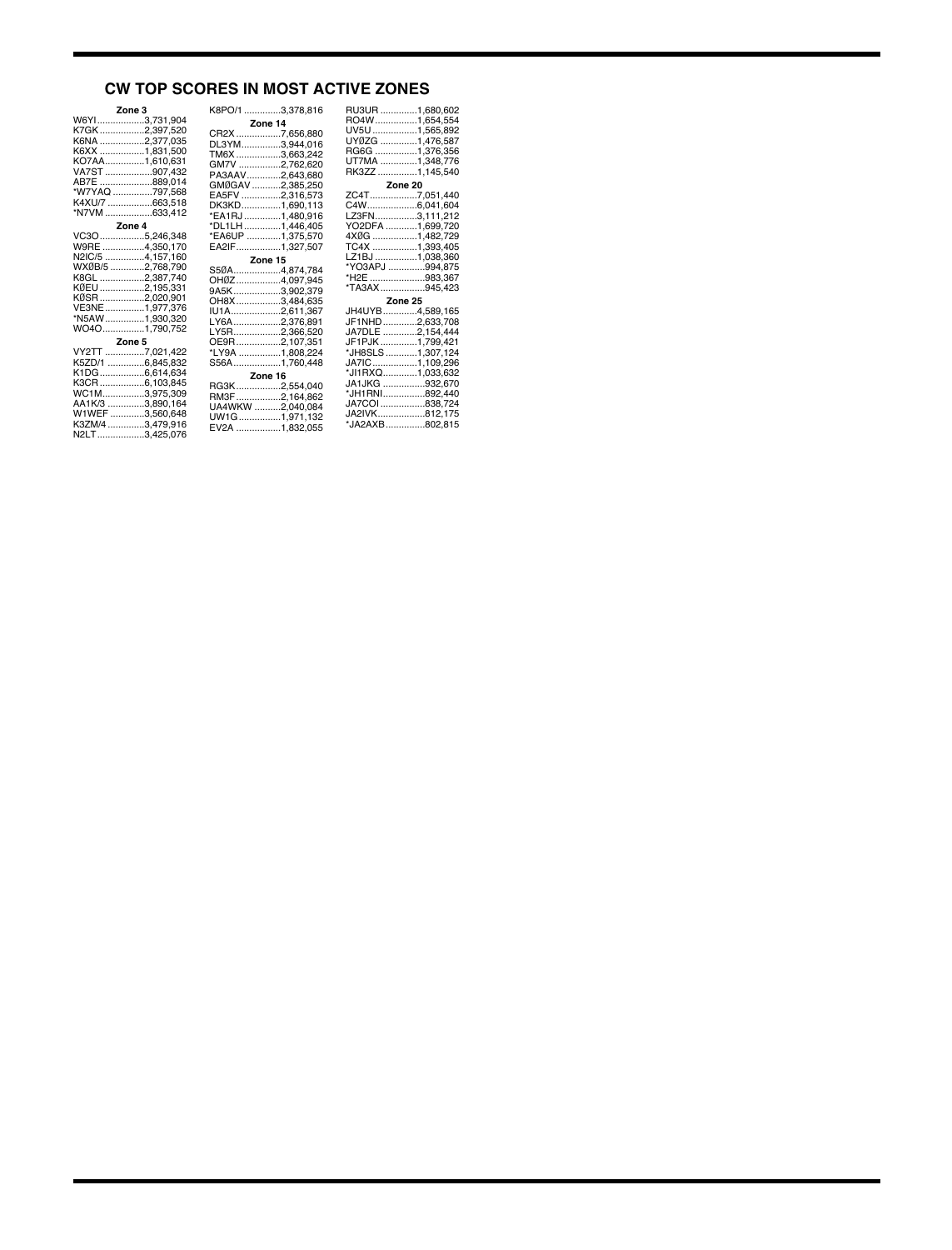## **CW TOP SCORES IN MOST ACTIVE ZONES**

| Zone 3           |  | K8PO/1 3,378,816 | RU3UR.            |
|------------------|--|------------------|-------------------|
| W6YI3,731,904    |  | Zone 14          | RO4W              |
| K7GK2,397,520    |  | CR2X 7,656,880   | UV5U              |
| K6NA 2,377,035   |  | DL3YM3,944,016   | UYØZG.            |
| K6XX 1,831,500   |  | TM6X 3,663,242   | <b>RG6G</b>       |
| KO7AA1,610,631   |  | GM7V 2,762,620   | UT7MA.            |
| VA7ST 907,432    |  | PA3AAV2,643,680  | RK3ZZ             |
| AB7E 889,014     |  | GMØGAV 2,385,250 |                   |
| *W7YAQ 797,568   |  | EA5FV 2,316,573  | ZC4T              |
| K4XU/7 663,518   |  | DK3KD1,690,113   | C4W               |
| *N7VM 633,412    |  | *EA1RJ 1,480,916 | LZ3FN             |
| Zone 4           |  | *DL1LH 1,446,405 | YO2DFA            |
| VC3O5,246,348    |  | *EA6UP 1,375,570 | 4XØG              |
| W9RE 4,350,170   |  | EA2IF1,327,507   | <b>TC4X</b>       |
| N2IC/5 4,157,160 |  | Zone 15          | LZ1BJ             |
| WXØB/5 2,768,790 |  | S50A4,874,784    | *YO3AP、           |
| K8GL 2,387,740   |  | OHØZ4,097,945    | *H <sub>2</sub> E |
| KØEU 2,195,331   |  | 9A5K3,902,379    | *TA3AX.           |
| KØSR 2,020,901   |  | OH8X3,484,635    |                   |
| VE3NE1,977,376   |  | IU1A2,611,367    | JH4UYB            |
| *N5AW 1,930,320  |  | LY6A2,376,891    | JF1NHD            |
| WO4O1,790,752    |  | LY5R2,366,520    | JA7DLE            |
| Zone 5           |  | OE9R2,107,351    | JF1PJK.           |
| VY2TT 7,021,422  |  | *LY9A 1,808,224  | *JH8SLS           |
| K5ZD/1 6,845,832 |  | S56A1,760,448    | JATIC             |
| K1DG6,614,634    |  | Zone 16          | *JI1RXQ           |
| K3CR6,103,845    |  | RG3K2,554,040    | JA1JKG            |
| WC1M3,975,309    |  | RM3F2,164,862    | *JH1RNI           |
| AA1K/3 3,890,164 |  | UA4WKW 2,040,084 | JA7COI.           |
| W1WEF3,560,648   |  | UW1G1,971,132    | JA2IVK            |
| K3ZM/43,479,916  |  | EV2A 1,832,055   | *JA2AXE           |
| N2LT3,425,076    |  |                  |                   |

| RU3UR 1,680,602<br>RO4W1,654,554<br>UV5U 1,565,892 |         |
|----------------------------------------------------|---------|
| UYØZG ……………1,476,587                               |         |
| RG6G 1,376,356                                     |         |
| UT7MA 1,348,776                                    |         |
| RK3ZZ 1,145,540                                    |         |
|                                                    | Zone 20 |
| ZC4T7,051,440                                      |         |
| C4W6,041,604                                       |         |
| LZ3FN3,111,212                                     |         |
| YO2DFA 1,699,720                                   |         |
| 4XØG 1,482,729                                     |         |
| TC4X 1,393,405                                     |         |
|                                                    |         |
| LZ1BJ 1,038,360<br>*YO3APJ 994,875                 |         |
| *H2E 983,367                                       |         |
| *TA3AX945,423                                      |         |
|                                                    |         |
|                                                    | Zone 25 |
| JH4UYB4,589,165                                    |         |
| JF1NHD2,633,708                                    |         |
| JA7DLE 2,154,444                                   |         |
| JF1PJK 1,799,421                                   |         |
| *JH8SLS 1,307,124                                  |         |
| JA7IC1,109,296                                     |         |
| *JI1RXQ1,033,632                                   |         |
| JA1JKG 932,670                                     |         |
| *JH1RNI892,440                                     |         |
| JA7COI 838,724                                     |         |
| JA2IVK812,175                                      |         |
| *JA2AXB802,815                                     |         |